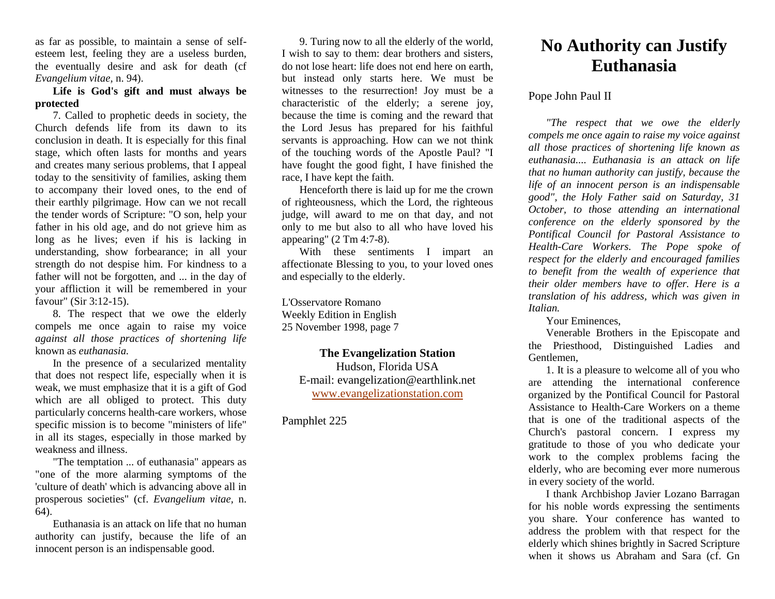as far as possible, to maintain a sense of selfesteem lest, feeling they are a useless burden, the eventually desire and ask for death (cf *Evangelium vitae,* n. 94).

### **Life is God's gift and must always be protected**

7. Called to prophetic deeds in society, the Church defends life from its dawn to its conclusion in death. It is especially for this final stage, which often lasts for months and years and creates many serious problems, that I appeal today to the sensitivity of families, asking them to accompany their loved ones, to the end of their earthly pilgrimage. How can we not recall the tender words of Scripture: "O son, help your father in his old age, and do not grieve him as long as he lives; even if his is lacking in understanding, show forbearance; in all your strength do not despise him. For kindness to a father will not be forgotten, and ... in the day of your affliction it will be remembered in your favour" (Sir 3:12-15).

8. The respect that we owe the elderly compels me once again to raise my voice *against all those practices of shortening life*  known as *euthanasia.*

In the presence of a secularized mentality that does not respect life, especially when it is weak, we must emphasize that it is a gift of God which are all obliged to protect. This duty particularly concerns health-care workers, whose specific mission is to become "ministers of life" in all its stages, especially in those marked by weakness and illness.

"The temptation ... of euthanasia" appears as "one of the more alarming symptoms of the 'culture of death' which is advancing above all in prosperous societies" (cf. *Evangelium vitae,* n. 64).

Euthanasia is an attack on life that no human authority can justify, because the life of an innocent person is an indispensable good.

9. Turing now to all the elderly of the world, I wish to say to them: dear brothers and sisters, do not lose heart: life does not end here on earth, but instead only starts here. We must be witnesses to the resurrection! Joy must be a characteristic of the elderly; a serene joy, because the time is coming and the reward that the Lord Jesus has prepared for his faithful servants is approaching. How can we not think of the touching words of the Apostle Paul? "I have fought the good fight, I have finished the race, I have kept the faith.

Henceforth there is laid up for me the crown of righteousness, which the Lord, the righteous judge, will award to me on that day, and not only to me but also to all who have loved his appearing" (2 Tm 4:7-8).

With these sentiments I impart an affectionate Blessing to you, to your loved ones and especially to the elderly.

L'Osservatore Romano Weekly Edition in English 25 November 1998, page 7

#### **The Evangelization Station** Hudson, Florida USA

E-mail: evangelization@earthlink.net [www.evangelizationstation.com](http://www.pjpiisoe.org/)

# Pamphlet 225

# **No Authority can Justify Euthanasia**

## Pope John Paul II

*"The respect that we owe the elderly compels me once again to raise my voice against all those practices of shortening life known as euthanasia.... Euthanasia is an attack on life that no human authority can justify, because the life of an innocent person is an indispensable good", the Holy Father said on Saturday, 31 October, to those attending an international conference on the elderly sponsored by the Pontifical Council for Pastoral Assistance to Health-Care Workers. The Pope spoke of respect for the elderly and encouraged families to benefit from the wealth of experience that their older members have to offer. Here is a translation of his address, which was given in Italian.*

Your Eminences,

Venerable Brothers in the Episcopate and the Priesthood, Distinguished Ladies and Gentlemen,

1. It is a pleasure to welcome all of you who are attending the international conference organized by the Pontifical Council for Pastoral Assistance to Health-Care Workers on a theme that is one of the traditional aspects of the Church's pastoral concern. I express my gratitude to those of you who dedicate your work to the complex problems facing the elderly, who are becoming ever more numerous in every society of the world.

I thank Archbishop Javier Lozano Barragan for his noble words expressing the sentiments you share. Your conference has wanted to address the problem with that respect for the elderly which shines brightly in Sacred Scripture when it shows us Abraham and Sara (cf. Gn